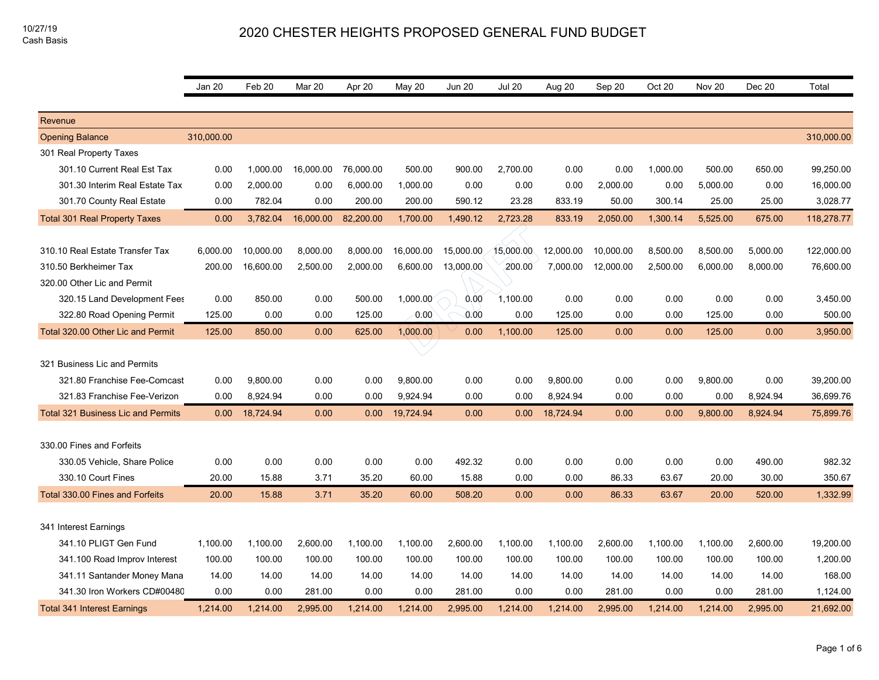|                                           | Jan 20     | Feb <sub>20</sub> | Mar 20    | Apr 20    | May 20    | <b>Jun 20</b> | <b>Jul 20</b> | Aug 20    | Sep 20    | Oct 20   | <b>Nov 20</b> | Dec 20   | Total      |
|-------------------------------------------|------------|-------------------|-----------|-----------|-----------|---------------|---------------|-----------|-----------|----------|---------------|----------|------------|
|                                           |            |                   |           |           |           |               |               |           |           |          |               |          |            |
| Revenue                                   |            |                   |           |           |           |               |               |           |           |          |               |          |            |
| <b>Opening Balance</b>                    | 310,000.00 |                   |           |           |           |               |               |           |           |          |               |          | 310,000.00 |
| 301 Real Property Taxes                   |            |                   |           |           |           |               |               |           |           |          |               |          |            |
| 301.10 Current Real Est Tax               | 0.00       | 1,000.00          | 16,000.00 | 76,000.00 | 500.00    | 900.00        | 2,700.00      | 0.00      | 0.00      | 1,000.00 | 500.00        | 650.00   | 99,250.00  |
| 301.30 Interim Real Estate Tax            | 0.00       | 2,000.00          | 0.00      | 6,000.00  | 1,000.00  | 0.00          | 0.00          | 0.00      | 2,000.00  | 0.00     | 5,000.00      | 0.00     | 16,000.00  |
| 301.70 County Real Estate                 | 0.00       | 782.04            | 0.00      | 200.00    | 200.00    | 590.12        | 23.28         | 833.19    | 50.00     | 300.14   | 25.00         | 25.00    | 3,028.77   |
| <b>Total 301 Real Property Taxes</b>      | 0.00       | 3,782.04          | 16,000.00 | 82,200.00 | 1,700.00  | 1,490.12      | 2,723.28      | 833.19    | 2,050.00  | 1,300.14 | 5,525.00      | 675.00   | 118,278.77 |
|                                           |            |                   |           |           |           |               |               |           |           |          |               |          |            |
| 310.10 Real Estate Transfer Tax           | 6,000.00   | 10,000.00         | 8,000.00  | 8,000.00  | 16,000.00 | 15,000.00     | 15,000.00     | 12,000.00 | 10,000.00 | 8,500.00 | 8,500.00      | 5,000.00 | 122,000.00 |
| 310.50 Berkheimer Tax                     | 200.00     | 16,600.00         | 2,500.00  | 2,000.00  | 6,600.00  | 13,000.00     | 200.00        | 7,000.00  | 12,000.00 | 2,500.00 | 6,000.00      | 8,000.00 | 76,600.00  |
| 320.00 Other Lic and Permit               |            |                   |           |           |           |               |               |           |           |          |               |          |            |
| 320.15 Land Development Fees              | 0.00       | 850.00            | 0.00      | 500.00    | 1,000.00  | 0.00          | 1,100.00      | 0.00      | 0.00      | 0.00     | 0.00          | 0.00     | 3,450.00   |
| 322.80 Road Opening Permit                | 125.00     | 0.00              | 0.00      | 125.00    | $-0.00$   | 0.00          | 0.00          | 125.00    | 0.00      | 0.00     | 125.00        | 0.00     | 500.00     |
| Total 320.00 Other Lic and Permit         | 125.00     | 850.00            | 0.00      | 625.00    | 1,000.00  | 0.00          | 1,100.00      | 125.00    | 0.00      | 0.00     | 125.00        | 0.00     | 3,950.00   |
|                                           |            |                   |           |           |           |               |               |           |           |          |               |          |            |
| 321 Business Lic and Permits              |            |                   |           |           |           |               |               |           |           |          |               |          |            |
| 321.80 Franchise Fee-Comcast              | 0.00       | 9,800.00          | 0.00      | 0.00      | 9,800.00  | 0.00          | 0.00          | 9,800.00  | 0.00      | 0.00     | 9,800.00      | 0.00     | 39,200.00  |
| 321.83 Franchise Fee-Verizon              | 0.00       | 8,924.94          | 0.00      | 0.00      | 9,924.94  | 0.00          | 0.00          | 8,924.94  | 0.00      | 0.00     | 0.00          | 8,924.94 | 36,699.76  |
| <b>Total 321 Business Lic and Permits</b> | 0.00       | 18,724.94         | 0.00      | 0.00      | 19,724.94 | 0.00          | 0.00          | 18,724.94 | 0.00      | 0.00     | 9,800.00      | 8,924.94 | 75,899.76  |
|                                           |            |                   |           |           |           |               |               |           |           |          |               |          |            |
| 330.00 Fines and Forfeits                 |            |                   |           |           |           |               |               |           |           |          |               |          |            |
| 330.05 Vehicle, Share Police              | 0.00       | 0.00              | 0.00      | 0.00      | 0.00      | 492.32        | 0.00          | 0.00      | 0.00      | 0.00     | 0.00          | 490.00   | 982.32     |
| 330.10 Court Fines                        | 20.00      | 15.88             | 3.71      | 35.20     | 60.00     | 15.88         | 0.00          | 0.00      | 86.33     | 63.67    | 20.00         | 30.00    | 350.67     |
| Total 330.00 Fines and Forfeits           | 20.00      | 15.88             | 3.71      | 35.20     | 60.00     | 508.20        | 0.00          | 0.00      | 86.33     | 63.67    | 20.00         | 520.00   | 1,332.99   |
|                                           |            |                   |           |           |           |               |               |           |           |          |               |          |            |
| 341 Interest Earnings                     |            |                   |           |           |           |               |               |           |           |          |               |          |            |
| 341.10 PLIGT Gen Fund                     | 1,100.00   | 1,100.00          | 2,600.00  | 1,100.00  | 1,100.00  | 2,600.00      | 1,100.00      | 1,100.00  | 2,600.00  | 1,100.00 | 1,100.00      | 2,600.00 | 19,200.00  |
| 341.100 Road Improv Interest              | 100.00     | 100.00            | 100.00    | 100.00    | 100.00    | 100.00        | 100.00        | 100.00    | 100.00    | 100.00   | 100.00        | 100.00   | 1,200.00   |
| 341.11 Santander Money Mana               | 14.00      | 14.00             | 14.00     | 14.00     | 14.00     | 14.00         | 14.00         | 14.00     | 14.00     | 14.00    | 14.00         | 14.00    | 168.00     |
| 341.30 Iron Workers CD#00480              | 0.00       | 0.00              | 281.00    | 0.00      | 0.00      | 281.00        | 0.00          | 0.00      | 281.00    | 0.00     | 0.00          | 281.00   | 1,124.00   |
| <b>Total 341 Interest Earnings</b>        | 1,214.00   | 1,214.00          | 2,995.00  | 1,214.00  | 1,214.00  | 2,995.00      | 1,214.00      | 1,214.00  | 2,995.00  | 1,214.00 | 1,214.00      | 2,995.00 | 21,692.00  |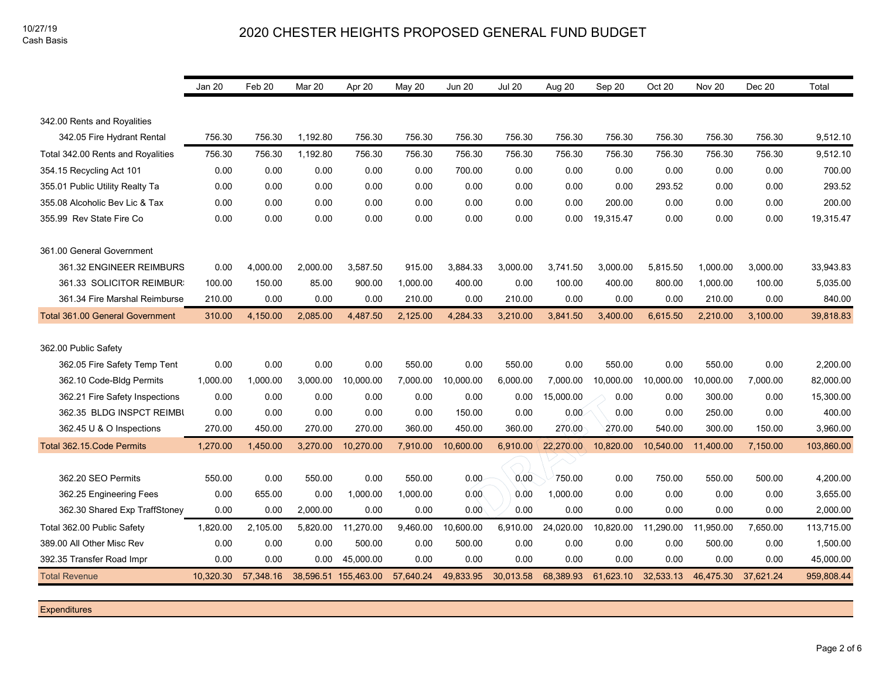|                                        | Jan 20    | Feb 20    | Mar 20   | Apr 20               | <b>May 20</b> | <b>Jun 20</b> | <b>Jul 20</b> | Aug 20    | Sep 20    | Oct 20    | Nov <sub>20</sub> | Dec 20    | Total      |
|----------------------------------------|-----------|-----------|----------|----------------------|---------------|---------------|---------------|-----------|-----------|-----------|-------------------|-----------|------------|
|                                        |           |           |          |                      |               |               |               |           |           |           |                   |           |            |
| 342.00 Rents and Royalities            |           |           |          |                      |               |               |               |           |           |           |                   |           |            |
| 342.05 Fire Hydrant Rental             | 756.30    | 756.30    | 1,192.80 | 756.30               | 756.30        | 756.30        | 756.30        | 756.30    | 756.30    | 756.30    | 756.30            | 756.30    | 9,512.10   |
| Total 342.00 Rents and Royalities      | 756.30    | 756.30    | 1,192.80 | 756.30               | 756.30        | 756.30        | 756.30        | 756.30    | 756.30    | 756.30    | 756.30            | 756.30    | 9,512.10   |
| 354.15 Recycling Act 101               | 0.00      | 0.00      | 0.00     | 0.00                 | 0.00          | 700.00        | 0.00          | 0.00      | 0.00      | 0.00      | 0.00              | 0.00      | 700.00     |
| 355.01 Public Utility Realty Ta        | 0.00      | 0.00      | 0.00     | 0.00                 | 0.00          | 0.00          | 0.00          | 0.00      | 0.00      | 293.52    | 0.00              | 0.00      | 293.52     |
| 355.08 Alcoholic Bev Lic & Tax         | 0.00      | 0.00      | 0.00     | 0.00                 | 0.00          | 0.00          | 0.00          | 0.00      | 200.00    | 0.00      | 0.00              | 0.00      | 200.00     |
| 355.99 Rev State Fire Co               | 0.00      | 0.00      | 0.00     | 0.00                 | 0.00          | 0.00          | 0.00          | 0.00      | 19,315.47 | 0.00      | 0.00              | 0.00      | 19,315.47  |
|                                        |           |           |          |                      |               |               |               |           |           |           |                   |           |            |
| 361.00 General Government              |           |           |          |                      |               |               |               |           |           |           |                   |           |            |
| 361.32 ENGINEER REIMBURS               | 0.00      | 4,000.00  | 2,000.00 | 3,587.50             | 915.00        | 3,884.33      | 3,000.00      | 3,741.50  | 3,000.00  | 5,815.50  | 1,000.00          | 3,000.00  | 33,943.83  |
| 361.33 SOLICITOR REIMBUR               | 100.00    | 150.00    | 85.00    | 900.00               | 1,000.00      | 400.00        | 0.00          | 100.00    | 400.00    | 800.00    | 1,000.00          | 100.00    | 5,035.00   |
| 361.34 Fire Marshal Reimburse          | 210.00    | 0.00      | 0.00     | 0.00                 | 210.00        | 0.00          | 210.00        | 0.00      | 0.00      | 0.00      | 210.00            | 0.00      | 840.00     |
| <b>Total 361.00 General Government</b> | 310.00    | 4,150.00  | 2,085.00 | 4,487.50             | 2,125.00      | 4,284.33      | 3,210.00      | 3,841.50  | 3,400.00  | 6,615.50  | 2,210.00          | 3,100.00  | 39,818.83  |
|                                        |           |           |          |                      |               |               |               |           |           |           |                   |           |            |
| 362.00 Public Safety                   |           |           |          |                      |               |               |               |           |           |           |                   |           |            |
| 362.05 Fire Safety Temp Tent           | 0.00      | 0.00      | 0.00     | 0.00                 | 550.00        | 0.00          | 550.00        | 0.00      | 550.00    | 0.00      | 550.00            | 0.00      | 2,200.00   |
| 362.10 Code-Bldg Permits               | 1,000.00  | 1,000.00  | 3,000.00 | 10,000.00            | 7,000.00      | 10,000.00     | 6,000.00      | 7,000.00  | 10,000.00 | 10,000.00 | 10,000.00         | 7,000.00  | 82,000.00  |
| 362.21 Fire Safety Inspections         | 0.00      | 0.00      | 0.00     | 0.00                 | 0.00          | 0.00          | 0.00          | 15,000.00 | 0.00      | 0.00      | 300.00            | 0.00      | 15,300.00  |
| 362.35 BLDG INSPCT REIMBU              | 0.00      | 0.00      | 0.00     | 0.00                 | 0.00          | 150.00        | 0.00          | 0.00      | 0.00      | 0.00      | 250.00            | 0.00      | 400.00     |
| 362.45 U & O Inspections               | 270.00    | 450.00    | 270.00   | 270.00               | 360.00        | 450.00        | 360.00        | 270.00    | 270.00    | 540.00    | 300.00            | 150.00    | 3,960.00   |
| Total 362.15. Code Permits             | 1,270.00  | 1,450.00  | 3,270.00 | 10,270.00            | 7,910.00      | 10,600.00     | 6,910.00      | 22,270.00 | 10,820.00 | 10,540.00 | 11,400.00         | 7,150.00  | 103,860.00 |
|                                        |           |           |          |                      |               |               |               |           |           |           |                   |           |            |
| 362.20 SEO Permits                     | 550.00    | 0.00      | 550.00   | 0.00                 | 550.00        | 0.00          | 0.00          | 750.00    | 0.00      | 750.00    | 550.00            | 500.00    | 4,200.00   |
| 362.25 Engineering Fees                | 0.00      | 655.00    | 0.00     | 1,000.00             | 1,000.00      | 0.00          | 0.00          | 1,000.00  | 0.00      | 0.00      | 0.00              | 0.00      | 3,655.00   |
| 362.30 Shared Exp TraffStoney          | 0.00      | 0.00      | 2,000.00 | 0.00                 | 0.00          | 0.00          | 0.00          | 0.00      | 0.00      | 0.00      | 0.00              | 0.00      | 2,000.00   |
| Total 362.00 Public Safety             | 1,820.00  | 2,105.00  | 5,820.00 | 11,270.00            | 9,460.00      | 10,600.00     | 6,910.00      | 24,020.00 | 10,820.00 | 11,290.00 | 11,950.00         | 7,650.00  | 113,715.00 |
| 389.00 All Other Misc Rev              | 0.00      | 0.00      | 0.00     | 500.00               | 0.00          | 500.00        | 0.00          | 0.00      | 0.00      | 0.00      | 500.00            | 0.00      | 1,500.00   |
| 392.35 Transfer Road Impr              | 0.00      | 0.00      | 0.00     | 45.000.00            | 0.00          | 0.00          | 0.00          | 0.00      | 0.00      | 0.00      | 0.00              | 0.00      | 45,000.00  |
| <b>Total Revenue</b>                   | 10,320.30 | 57,348.16 |          | 38,596.51 155,463.00 | 57,640.24     | 49,833.95     | 30,013.58     | 68,389.93 | 61,623.10 | 32.533.13 | 46,475.30         | 37.621.24 | 959,808.44 |

**Expenditures**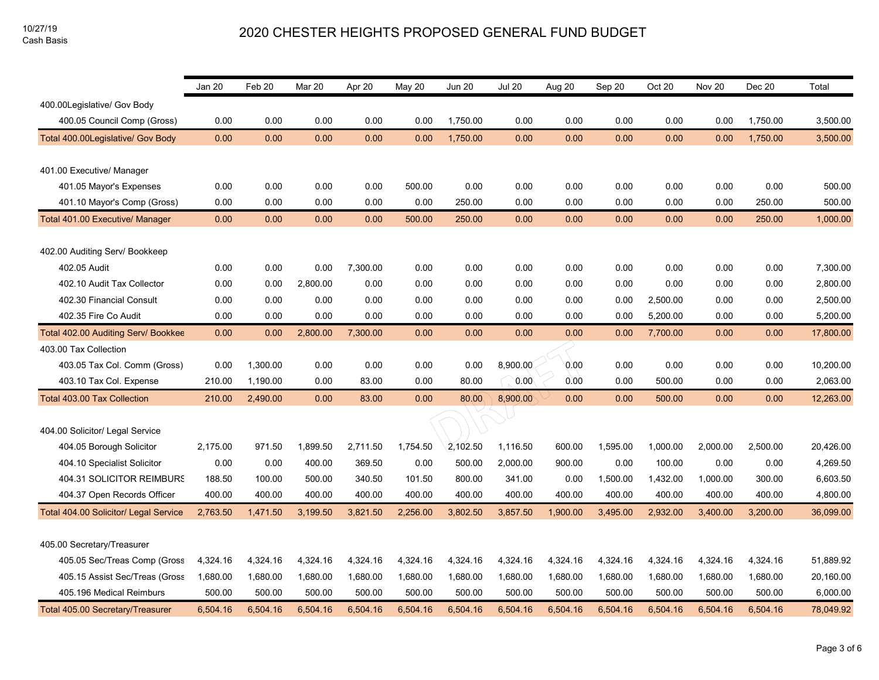|                                       | Jan 20   | Feb 20   | Mar 20   | Apr 20   | May 20   | <b>Jun 20</b> | <b>Jul 20</b> | Aug 20   | Sep 20   | Oct 20   | Nov 20   | Dec 20   | Total     |
|---------------------------------------|----------|----------|----------|----------|----------|---------------|---------------|----------|----------|----------|----------|----------|-----------|
| 400.00Legislative/ Gov Body           |          |          |          |          |          |               |               |          |          |          |          |          |           |
| 400.05 Council Comp (Gross)           | 0.00     | 0.00     | 0.00     | 0.00     | 0.00     | 1,750.00      | 0.00          | 0.00     | 0.00     | 0.00     | 0.00     | 1,750.00 | 3,500.00  |
| Total 400.00Legislative/ Gov Body     | 0.00     | 0.00     | 0.00     | 0.00     | 0.00     | 1,750.00      | 0.00          | 0.00     | 0.00     | 0.00     | 0.00     | 1,750.00 | 3,500.00  |
|                                       |          |          |          |          |          |               |               |          |          |          |          |          |           |
| 401.00 Executive/ Manager             |          |          |          |          |          |               |               |          |          |          |          |          |           |
| 401.05 Mayor's Expenses               | 0.00     | 0.00     | 0.00     | 0.00     | 500.00   | 0.00          | 0.00          | 0.00     | 0.00     | 0.00     | 0.00     | 0.00     | 500.00    |
| 401.10 Mayor's Comp (Gross)           | 0.00     | 0.00     | 0.00     | 0.00     | 0.00     | 250.00        | 0.00          | 0.00     | 0.00     | 0.00     | 0.00     | 250.00   | 500.00    |
| Total 401.00 Executive/ Manager       | 0.00     | 0.00     | 0.00     | 0.00     | 500.00   | 250.00        | 0.00          | 0.00     | 0.00     | 0.00     | 0.00     | 250.00   | 1,000.00  |
| 402.00 Auditing Serv/ Bookkeep        |          |          |          |          |          |               |               |          |          |          |          |          |           |
| 402.05 Audit                          | 0.00     | 0.00     | 0.00     | 7,300.00 | 0.00     | 0.00          | 0.00          | 0.00     | 0.00     | 0.00     | 0.00     | 0.00     | 7,300.00  |
| 402.10 Audit Tax Collector            | 0.00     | 0.00     | 2,800.00 | 0.00     | 0.00     | 0.00          | 0.00          | 0.00     | 0.00     | 0.00     | 0.00     | 0.00     | 2,800.00  |
| 402.30 Financial Consult              | 0.00     | 0.00     | 0.00     | 0.00     | 0.00     | 0.00          | 0.00          | 0.00     | 0.00     | 2,500.00 | 0.00     | 0.00     | 2,500.00  |
| 402.35 Fire Co Audit                  | 0.00     | 0.00     | 0.00     | 0.00     | 0.00     | 0.00          | 0.00          | 0.00     | 0.00     | 5,200.00 | 0.00     | 0.00     | 5,200.00  |
| Total 402.00 Auditing Serv/ Bookkee   | 0.00     | 0.00     | 2,800.00 | 7,300.00 | 0.00     | 0.00          | 0.00          | 0.00     | 0.00     | 7,700.00 | 0.00     | 0.00     | 17,800.00 |
| 403.00 Tax Collection                 |          |          |          |          |          |               |               |          |          |          |          |          |           |
| 403.05 Tax Col. Comm (Gross)          | 0.00     | 1,300.00 | 0.00     | 0.00     | 0.00     | 0.00          | 8,900.00      | 0.00     | 0.00     | 0.00     | 0.00     | 0.00     | 10,200.00 |
| 403.10 Tax Col. Expense               | 210.00   | 1,190.00 | 0.00     | 83.00    | 0.00     | 80.00         | 0.00          | 0.00     | 0.00     | 500.00   | 0.00     | 0.00     | 2,063.00  |
| Total 403.00 Tax Collection           | 210.00   | 2,490.00 | 0.00     | 83.00    | 0.00     | 80.00         | 8,900.00      | 0.00     | 0.00     | 500.00   | 0.00     | 0.00     | 12,263.00 |
|                                       |          |          |          |          |          |               |               |          |          |          |          |          |           |
| 404.00 Solicitor/ Legal Service       |          |          |          |          |          |               |               |          |          |          |          |          |           |
| 404.05 Borough Solicitor              | 2,175.00 | 971.50   | 1,899.50 | 2,711.50 | 1,754.50 | 2,102.50      | 1,116.50      | 600.00   | 1,595.00 | 1,000.00 | 2,000.00 | 2,500.00 | 20,426.00 |
| 404.10 Specialist Solicitor           | 0.00     | 0.00     | 400.00   | 369.50   | 0.00     | 500.00        | 2,000.00      | 900.00   | 0.00     | 100.00   | 0.00     | 0.00     | 4,269.50  |
| 404.31 SOLICITOR REIMBURS             | 188.50   | 100.00   | 500.00   | 340.50   | 101.50   | 800.00        | 341.00        | 0.00     | 1,500.00 | 1,432.00 | 1,000.00 | 300.00   | 6,603.50  |
| 404.37 Open Records Officer           | 400.00   | 400.00   | 400.00   | 400.00   | 400.00   | 400.00        | 400.00        | 400.00   | 400.00   | 400.00   | 400.00   | 400.00   | 4,800.00  |
| Total 404.00 Solicitor/ Legal Service | 2,763.50 | 1,471.50 | 3,199.50 | 3,821.50 | 2,256.00 | 3,802.50      | 3,857.50      | 1,900.00 | 3,495.00 | 2,932.00 | 3,400.00 | 3,200.00 | 36,099.00 |
| 405.00 Secretary/Treasurer            |          |          |          |          |          |               |               |          |          |          |          |          |           |
| 405.05 Sec/Treas Comp (Gross          | 4,324.16 | 4,324.16 | 4,324.16 | 4,324.16 | 4,324.16 | 4,324.16      | 4,324.16      | 4,324.16 | 4,324.16 | 4,324.16 | 4,324.16 | 4,324.16 | 51,889.92 |
| 405.15 Assist Sec/Treas (Gross        | 1,680.00 | 1,680.00 | 1,680.00 | 1,680.00 | 1,680.00 | 1,680.00      | 1,680.00      | 1,680.00 | 1,680.00 | 1,680.00 | 1,680.00 | 1,680.00 | 20,160.00 |
| 405.196 Medical Reimburs              | 500.00   | 500.00   | 500.00   | 500.00   | 500.00   | 500.00        | 500.00        | 500.00   | 500.00   | 500.00   | 500.00   | 500.00   | 6,000.00  |
| Total 405.00 Secretary/Treasurer      | 6,504.16 | 6,504.16 | 6,504.16 | 6,504.16 | 6,504.16 | 6,504.16      | 6,504.16      | 6,504.16 | 6,504.16 | 6,504.16 | 6,504.16 | 6,504.16 | 78,049.92 |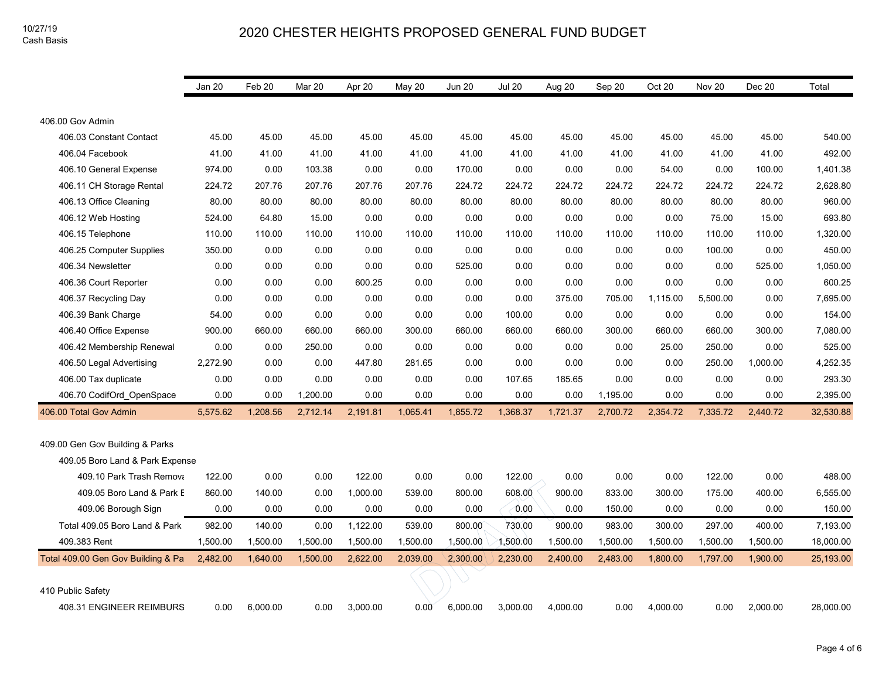|                                    | Jan 20   | Feb 20   | Mar 20   | Apr 20   | May 20   | <b>Jun 20</b> | <b>Jul 20</b> | Aug 20   | Sep 20   | Oct 20   | Nov 20   | Dec 20   | Total     |
|------------------------------------|----------|----------|----------|----------|----------|---------------|---------------|----------|----------|----------|----------|----------|-----------|
|                                    |          |          |          |          |          |               |               |          |          |          |          |          |           |
| 406.00 Gov Admin                   |          |          |          |          |          |               |               |          |          |          |          |          |           |
| 406.03 Constant Contact            | 45.00    | 45.00    | 45.00    | 45.00    | 45.00    | 45.00         | 45.00         | 45.00    | 45.00    | 45.00    | 45.00    | 45.00    | 540.00    |
| 406.04 Facebook                    | 41.00    | 41.00    | 41.00    | 41.00    | 41.00    | 41.00         | 41.00         | 41.00    | 41.00    | 41.00    | 41.00    | 41.00    | 492.00    |
| 406.10 General Expense             | 974.00   | 0.00     | 103.38   | 0.00     | 0.00     | 170.00        | 0.00          | 0.00     | 0.00     | 54.00    | 0.00     | 100.00   | 1,401.38  |
| 406.11 CH Storage Rental           | 224.72   | 207.76   | 207.76   | 207.76   | 207.76   | 224.72        | 224.72        | 224.72   | 224.72   | 224.72   | 224.72   | 224.72   | 2,628.80  |
| 406.13 Office Cleaning             | 80.00    | 80.00    | 80.00    | 80.00    | 80.00    | 80.00         | 80.00         | 80.00    | 80.00    | 80.00    | 80.00    | 80.00    | 960.00    |
| 406.12 Web Hosting                 | 524.00   | 64.80    | 15.00    | 0.00     | 0.00     | 0.00          | 0.00          | 0.00     | 0.00     | 0.00     | 75.00    | 15.00    | 693.80    |
| 406.15 Telephone                   | 110.00   | 110.00   | 110.00   | 110.00   | 110.00   | 110.00        | 110.00        | 110.00   | 110.00   | 110.00   | 110.00   | 110.00   | 1,320.00  |
| 406.25 Computer Supplies           | 350.00   | 0.00     | 0.00     | 0.00     | 0.00     | 0.00          | 0.00          | 0.00     | 0.00     | 0.00     | 100.00   | 0.00     | 450.00    |
| 406.34 Newsletter                  | 0.00     | 0.00     | 0.00     | 0.00     | 0.00     | 525.00        | 0.00          | 0.00     | 0.00     | 0.00     | 0.00     | 525.00   | 1,050.00  |
| 406.36 Court Reporter              | 0.00     | 0.00     | 0.00     | 600.25   | 0.00     | 0.00          | 0.00          | 0.00     | 0.00     | 0.00     | 0.00     | 0.00     | 600.25    |
| 406.37 Recycling Day               | 0.00     | 0.00     | 0.00     | 0.00     | 0.00     | 0.00          | 0.00          | 375.00   | 705.00   | 1,115.00 | 5,500.00 | 0.00     | 7,695.00  |
| 406.39 Bank Charge                 | 54.00    | 0.00     | 0.00     | 0.00     | 0.00     | 0.00          | 100.00        | 0.00     | 0.00     | 0.00     | 0.00     | 0.00     | 154.00    |
| 406.40 Office Expense              | 900.00   | 660.00   | 660.00   | 660.00   | 300.00   | 660.00        | 660.00        | 660.00   | 300.00   | 660.00   | 660.00   | 300.00   | 7,080.00  |
| 406.42 Membership Renewal          | 0.00     | 0.00     | 250.00   | 0.00     | 0.00     | 0.00          | 0.00          | 0.00     | 0.00     | 25.00    | 250.00   | 0.00     | 525.00    |
| 406.50 Legal Advertising           | 2,272.90 | 0.00     | 0.00     | 447.80   | 281.65   | 0.00          | 0.00          | 0.00     | 0.00     | 0.00     | 250.00   | 1,000.00 | 4,252.35  |
| 406.00 Tax duplicate               | 0.00     | 0.00     | 0.00     | 0.00     | 0.00     | 0.00          | 107.65        | 185.65   | 0.00     | 0.00     | 0.00     | 0.00     | 293.30    |
| 406.70 CodifOrd_OpenSpace          | 0.00     | 0.00     | 1,200.00 | 0.00     | 0.00     | 0.00          | 0.00          | 0.00     | 1,195.00 | 0.00     | 0.00     | 0.00     | 2,395.00  |
| 406.00 Total Gov Admin             | 5,575.62 | 1,208.56 | 2,712.14 | 2,191.81 | 1,065.41 | 1,855.72      | 1,368.37      | 1,721.37 | 2,700.72 | 2,354.72 | 7,335.72 | 2,440.72 | 32,530.88 |
|                                    |          |          |          |          |          |               |               |          |          |          |          |          |           |
| 409.00 Gen Gov Building & Parks    |          |          |          |          |          |               |               |          |          |          |          |          |           |
| 409.05 Boro Land & Park Expense    |          |          |          |          |          |               |               |          |          |          |          |          |           |
| 409.10 Park Trash Remova           | 122.00   | 0.00     | 0.00     | 122.00   | 0.00     | 0.00          | 122.00        | 0.00     | 0.00     | 0.00     | 122.00   | 0.00     | 488.00    |
| 409.05 Boro Land & Park E          | 860.00   | 140.00   | 0.00     | 1,000.00 | 539.00   | 800.00        | 608.00        | 900.00   | 833.00   | 300.00   | 175.00   | 400.00   | 6,555.00  |
| 409.06 Borough Sign                | 0.00     | 0.00     | 0.00     | 0.00     | 0.00     | 0.00          | 0.00          | 0.00     | 150.00   | 0.00     | 0.00     | 0.00     | 150.00    |
| Total 409.05 Boro Land & Park      | 982.00   | 140.00   | 0.00     | 1,122.00 | 539.00   | 800.00        | 730.00        | 900.00   | 983.00   | 300.00   | 297.00   | 400.00   | 7,193.00  |
| 409.383 Rent                       | 1,500.00 | 1,500.00 | 1,500.00 | 1,500.00 | 1,500.00 | 1,500.00      | 1,500.00      | 1,500.00 | 1,500.00 | 1,500.00 | 1,500.00 | 1,500.00 | 18,000.00 |
| Total 409.00 Gen Gov Building & Pa | 2,482.00 | 1,640.00 | 1,500.00 | 2,622.00 | 2,039.00 | 2,300.00      | 2,230.00      | 2,400.00 | 2,483.00 | 1,800.00 | 1,797.00 | 1,900.00 | 25,193.00 |
|                                    |          |          |          |          |          |               |               |          |          |          |          |          |           |
| 410 Public Safety                  |          |          |          |          |          |               |               |          |          |          |          |          |           |
| 408.31 ENGINEER REIMBURS           | 0.00     | 6,000.00 | 0.00     | 3,000.00 | 0.00     | 6,000.00      | 3,000.00      | 4,000.00 | 0.00     | 4,000.00 | 0.00     | 2,000.00 | 28,000.00 |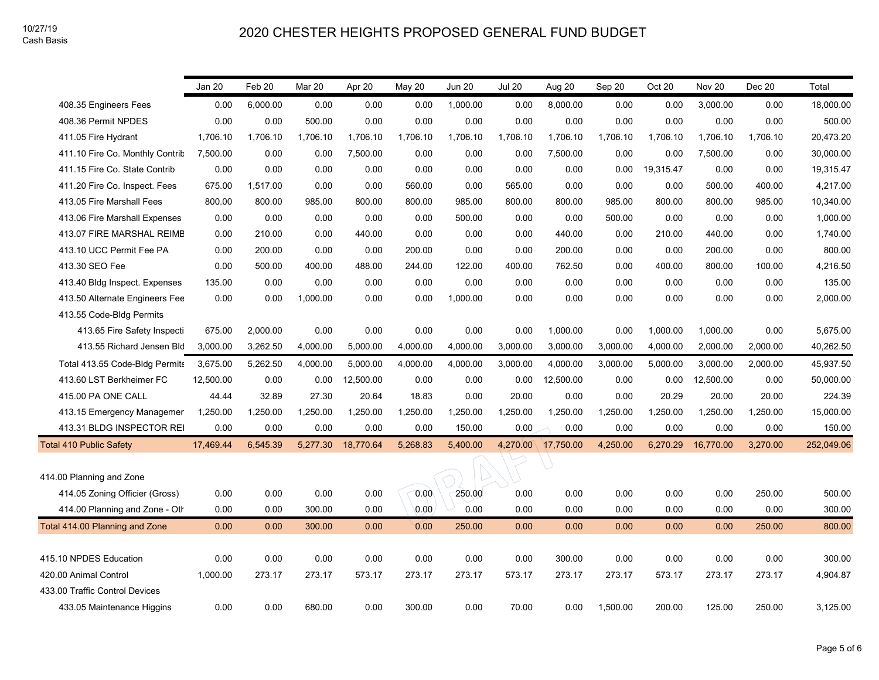|                                 | Jan 20    | Feb 20   | Mar 20   | Apr 20    | May 20   | <b>Jun 20</b> | <b>Jul 20</b> | Aug 20             | Sep 20   | Oct 20    | Nov 20    | Dec 20   | Total      |
|---------------------------------|-----------|----------|----------|-----------|----------|---------------|---------------|--------------------|----------|-----------|-----------|----------|------------|
| 408.35 Engineers Fees           | 0.00      | 6,000.00 | 0.00     | 0.00      | 0.00     | 1,000.00      | 0.00          | 8,000.00           | 0.00     | 0.00      | 3,000.00  | 0.00     | 18,000.00  |
| 408.36 Permit NPDES             | 0.00      | 0.00     | 500.00   | 0.00      | 0.00     | 0.00          | 0.00          | 0.00               | 0.00     | 0.00      | 0.00      | 0.00     | 500.00     |
| 411.05 Fire Hydrant             | 1.706.10  | 1,706.10 | 1,706.10 | 1.706.10  | 1.706.10 | 1,706.10      | 1,706.10      | 1.706.10           | 1.706.10 | 1.706.10  | 1.706.10  | 1,706.10 | 20,473.20  |
| 411.10 Fire Co. Monthly Contrit | 7,500.00  | 0.00     | 0.00     | 7,500.00  | 0.00     | 0.00          | 0.00          | 7,500.00           | 0.00     | 0.00      | 7,500.00  | 0.00     | 30,000.00  |
| 411.15 Fire Co. State Contrib   | 0.00      | 0.00     | 0.00     | 0.00      | 0.00     | 0.00          | 0.00          | 0.00               | 0.00     | 19,315.47 | 0.00      | 0.00     | 19,315.47  |
| 411.20 Fire Co. Inspect. Fees   | 675.00    | 1,517.00 | 0.00     | 0.00      | 560.00   | 0.00          | 565.00        | 0.00               | 0.00     | 0.00      | 500.00    | 400.00   | 4,217.00   |
| 413.05 Fire Marshall Fees       | 800.00    | 800.00   | 985.00   | 800.00    | 800.00   | 985.00        | 800.00        | 800.00             | 985.00   | 800.00    | 800.00    | 985.00   | 10,340.00  |
| 413.06 Fire Marshall Expenses   | 0.00      | 0.00     | 0.00     | 0.00      | 0.00     | 500.00        | 0.00          | 0.00               | 500.00   | 0.00      | 0.00      | 0.00     | 1,000.00   |
| 413.07 FIRE MARSHAL REIME       | 0.00      | 210.00   | 0.00     | 440.00    | 0.00     | 0.00          | 0.00          | 440.00             | 0.00     | 210.00    | 440.00    | 0.00     | 1,740.00   |
| 413.10 UCC Permit Fee PA        | 0.00      | 200.00   | 0.00     | 0.00      | 200.00   | 0.00          | 0.00          | 200.00             | 0.00     | 0.00      | 200.00    | 0.00     | 800.00     |
| 413.30 SEO Fee                  | 0.00      | 500.00   | 400.00   | 488.00    | 244.00   | 122.00        | 400.00        | 762.50             | 0.00     | 400.00    | 800.00    | 100.00   | 4,216.50   |
| 413.40 Bldg Inspect. Expenses   | 135.00    | 0.00     | 0.00     | 0.00      | 0.00     | 0.00          | 0.00          | 0.00               | 0.00     | 0.00      | 0.00      | 0.00     | 135.00     |
| 413.50 Alternate Engineers Fee  | 0.00      | 0.00     | 1,000.00 | 0.00      | 0.00     | 1,000.00      | 0.00          | 0.00               | 0.00     | 0.00      | 0.00      | 0.00     | 2,000.00   |
| 413.55 Code-Bldg Permits        |           |          |          |           |          |               |               |                    |          |           |           |          |            |
| 413.65 Fire Safety Inspecti     | 675.00    | 2,000.00 | 0.00     | 0.00      | 0.00     | 0.00          | 0.00          | 1,000.00           | 0.00     | 1,000.00  | 1,000.00  | 0.00     | 5,675.00   |
| 413.55 Richard Jensen Bld       | 3,000.00  | 3,262.50 | 4,000.00 | 5,000.00  | 4,000.00 | 4,000.00      | 3,000.00      | 3,000.00           | 3,000.00 | 4,000.00  | 2,000.00  | 2,000.00 | 40,262.50  |
| Total 413.55 Code-Bldg Permits  | 3,675.00  | 5,262.50 | 4,000.00 | 5,000.00  | 4,000.00 | 4,000.00      | 3,000.00      | 4,000.00           | 3,000.00 | 5,000.00  | 3,000.00  | 2,000.00 | 45,937.50  |
| 413.60 LST Berkheimer FC        | 12.500.00 | 0.00     | 0.00     | 12,500.00 | 0.00     | 0.00          | 0.00          | 12,500.00          | 0.00     | 0.00      | 12,500.00 | 0.00     | 50,000.00  |
| 415.00 PA ONE CALL              | 44.44     | 32.89    | 27.30    | 20.64     | 18.83    | 0.00          | 20.00         | 0.00               | 0.00     | 20.29     | 20.00     | 20.00    | 224.39     |
| 413.15 Emergency Managemer      | 1,250.00  | 1,250.00 | 1,250.00 | 1,250.00  | 1,250.00 | 1,250.00      | 1,250.00      | 1,250.00           | 1,250.00 | 1,250.00  | 1,250.00  | 1,250.00 | 15,000.00  |
| 413.31 BLDG INSPECTOR REI       | 0.00      | 0.00     | 0.00     | 0.00      | 0.00     | 150.00        | 0.00          | 0.00               | 0.00     | 0.00      | 0.00      | 0.00     | 150.00     |
| <b>Total 410 Public Safety</b>  | 17,469.44 | 6,545.39 | 5,277.30 | 18,770.64 | 5,268.83 | 5,400.00      |               | 4,270.00 17,750.00 | 4,250.00 | 6,270.29  | 16,770.00 | 3,270.00 | 252,049.06 |
|                                 |           |          |          |           |          |               |               |                    |          |           |           |          |            |
| 414.00 Planning and Zone        |           |          |          |           |          |               |               |                    |          |           |           |          |            |
| 414.05 Zoning Officier (Gross)  | 0.00      | 0.00     | 0.00     | 0.00      | 0.00     | 250.00        | 0.00          | 0.00               | 0.00     | 0.00      | 0.00      | 250.00   | 500.00     |
| 414.00 Planning and Zone - Oth  | 0.00      | 0.00     | 300.00   | 0.00      | 0.00     | 0.00          | 0.00          | 0.00               | 0.00     | 0.00      | 0.00      | 0.00     | 300.00     |
| Total 414.00 Planning and Zone  | 0.00      | 0.00     | 300.00   | 0.00      | 0.00     | 250.00        | 0.00          | 0.00               | 0.00     | 0.00      | 0.00      | 250.00   | 800.00     |
|                                 |           |          |          |           |          |               |               |                    |          |           |           |          |            |
| 415.10 NPDES Education          | 0.00      | 0.00     | 0.00     | 0.00      | 0.00     | 0.00          | 0.00          | 300.00             | 0.00     | 0.00      | 0.00      | 0.00     | 300.00     |
| 420.00 Animal Control           | 1,000.00  | 273.17   | 273.17   | 573.17    | 273.17   | 273.17        | 573.17        | 273.17             | 273.17   | 573.17    | 273.17    | 273.17   | 4,904.87   |
| 433.00 Traffic Control Devices  |           |          |          |           |          |               |               |                    |          |           |           |          |            |
| 433.05 Maintenance Higgins      | 0.00      | 0.00     | 680.00   | 0.00      | 300.00   | 0.00          | 70.00         | 0.00               | 1,500.00 | 200.00    | 125.00    | 250.00   | 3,125.00   |